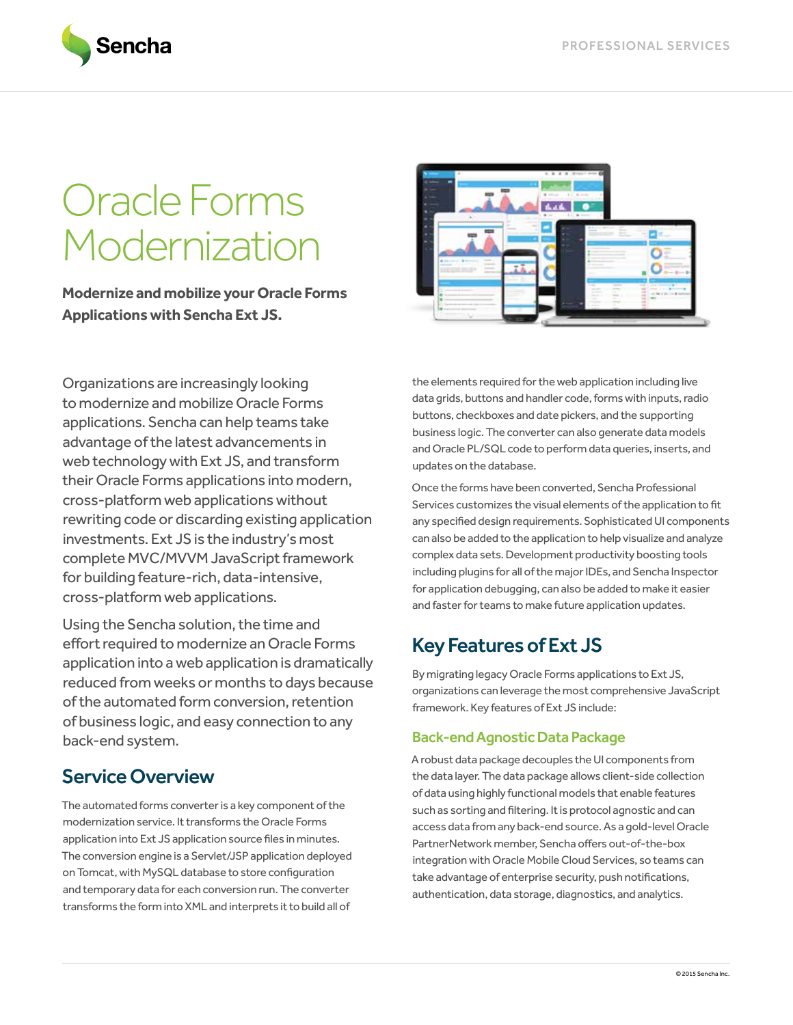

# Oracle Forms Modernization

**Modernize and mobilize your Oracle Forms Applications with Sencha Ext JS.**



Organizations are increasingly looking to modernize and mobilize Oracle Forms applications. Sencha can help teams take advantage of the latest advancements in web technology with Ext JS, and transform their Oracle Forms applications into modern, cross-platform web applications without rewriting code or discarding existing application investments. Ext JS is the industry's most complete MVC/MVVM JavaScript framework for building feature-rich, data-intensive, cross-platform web applications.

Using the Sencha solution, the time and effort required to modernize an Oracle Forms application into a web application is dramatically reduced from weeks or months to days because of the automated form conversion, retention of business logic, and easy connection to any back-end system.

## Service Overview

The automated forms converter is a key component of the modernization service. It transforms the Oracle Forms application into Ext JS application source files in minutes. The conversion engine is a Servlet/JSP application deployed on Tomcat, with MySQL database to store configuration and temporary data for each conversion run. The converter transforms the form into XML and interprets it to build all of

the elements required for the web application including live data grids, buttons and handler code, forms with inputs, radio buttons, checkboxes and date pickers, and the supporting business logic. The converter can also generate data models and Oracle PL/SQL code to perform data queries, inserts, and updates on the database.

Once the forms have been converted, Sencha Professional Services customizes the visual elements of the application to fit any specified design requirements. Sophisticated UI components can also be added to the application to help visualize and analyze complex data sets. Development productivity boosting tools including plugins for all of the major IDEs, and Sencha Inspector for application debugging, can also be added to make it easier and faster for teams to make future application updates.

## Key Features of Ext JS

By migrating legacy Oracle Forms applications to Ext JS, organizations can leverage the most comprehensive JavaScript framework. Key features of Ext JS include:

#### Back-end Agnostic Data Package

A robust data package decouples the UI components from the data layer. The data package allows client-side collection of data using highly functional models that enable features such as sorting and filtering. It is protocol agnostic and can access data from any back-end source. As a gold-level Oracle PartnerNetwork member, Sencha offers out-of-the-box integration with Oracle Mobile Cloud Services, so teams can take advantage of enterprise security, push notifications, authentication, data storage, diagnostics, and analytics.